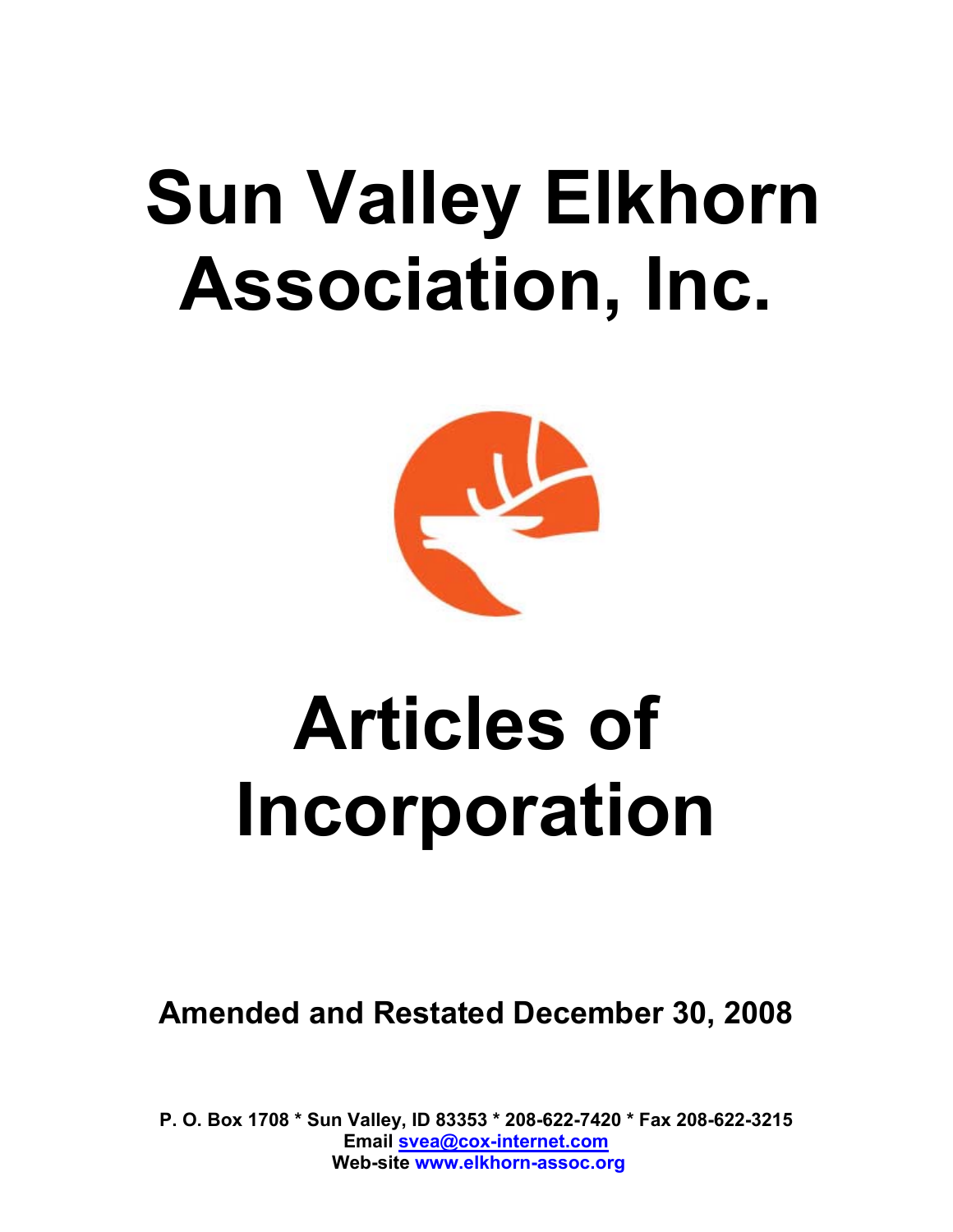## **Sun Valley Elkhorn Association, Inc.**



# **Articles of Incorporation**

**Amended and Restated December 30, 2008** 

**P. O. Box 1708 \* Sun Valley, ID 83353 \* 208-622-7420 \* Fax 208-622-3215 Email svea@cox-internet.com Web-site www.elkhorn-assoc.org**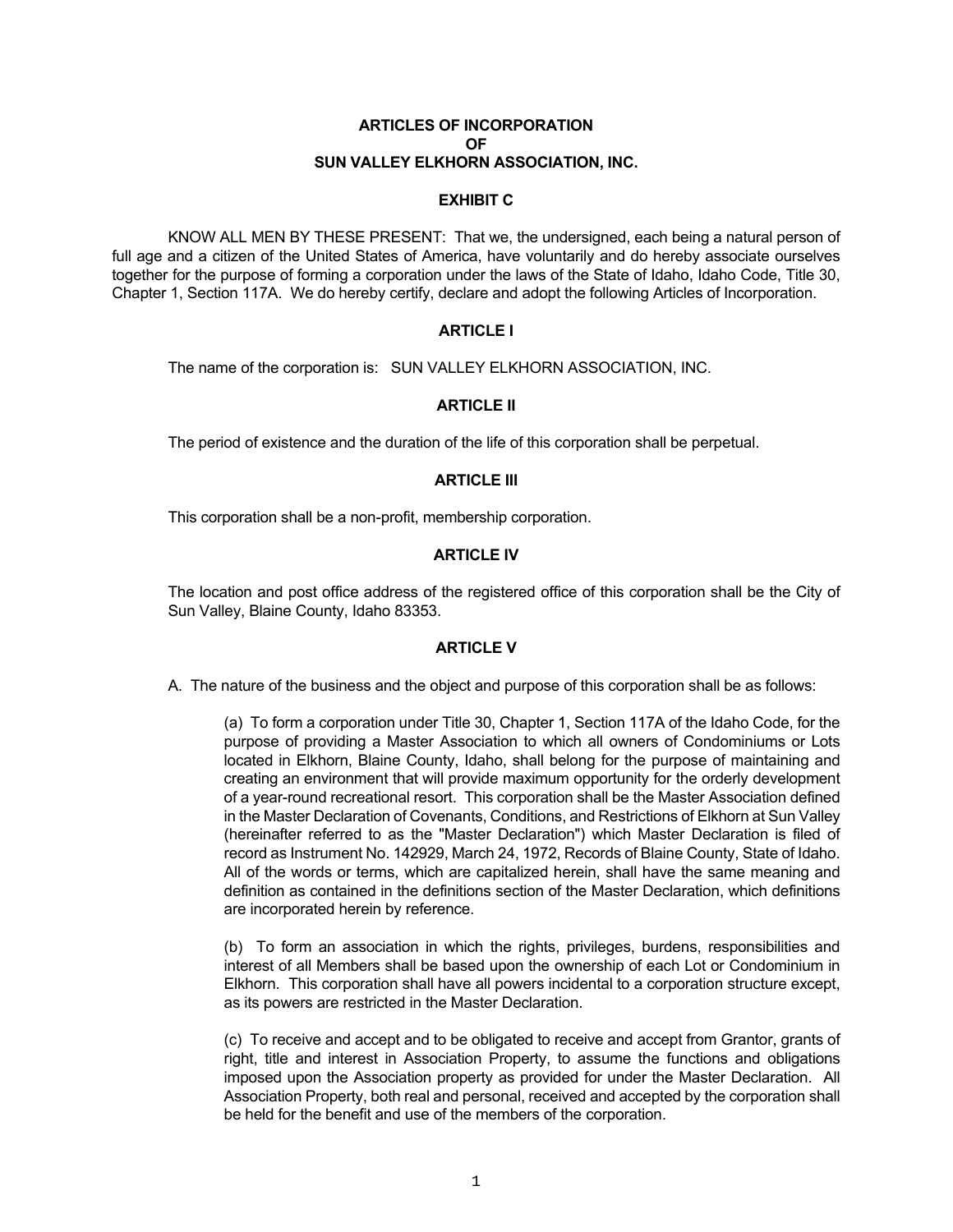#### **ARTICLES OF INCORPORATION** *OF*  **SUN VALLEY ELKHORN ASSOCIATION, INC.**

## **EXHIBIT C**

 KNOW ALL MEN BY THESE PRESENT: That we, the undersigned, each being a natural person of full age and a citizen of the United States of America, have voluntarily and do hereby associate ourselves together for the purpose of forming a corporation under the laws of the State of Idaho, Idaho Code, Title 30, Chapter 1, Section 117A. We do hereby certify, declare and adopt the following Articles of Incorporation.

## **ARTICLE I**

The name of the corporation is: SUN VALLEY ELKHORN ASSOCIATION, INC.

## **ARTICLE II**

The period of existence and the duration of the life of this corporation shall be perpetual.

## **ARTICLE III**

This corporation shall be a non-profit, membership corporation.

## **ARTICLE IV**

 The location and post office address of the registered office of this corporation shall be the City of Sun Valley, Blaine County, Idaho 83353.

### **ARTICLE V**

A. The nature of the business and the object and purpose of this corporation shall be as follows:

 (a) To form a corporation under Title 30, Chapter 1, Section 117A of the Idaho Code, for the purpose of providing a Master Association to which all owners of Condominiums or Lots located in Elkhorn, Blaine County, Idaho, shall belong for the purpose of maintaining and creating an environment that will provide maximum opportunity for the orderly development of a year-round recreational resort. This corporation shall be the Master Association defined in the Master Declaration of Covenants, Conditions, and Restrictions of Elkhorn at Sun Valley (hereinafter referred to as the "Master Declaration") which Master Declaration is filed of record as Instrument No. 142929, March 24, 1972, Records of Blaine County, State of Idaho. All of the words or terms, which are capitalized herein, shall have the same meaning and definition as contained in the definitions section of the Master Declaration, which definitions are incorporated herein by reference.

 (b) To form an association in which the rights, privileges, burdens, responsibilities and interest of all Members shall be based upon the ownership of each Lot or Condominium in Elkhorn. This corporation shall have all powers incidental to a corporation structure except, as its powers are restricted in the Master Declaration.

 (c) To receive and accept and to be obligated to receive and accept from Grantor, grants of right, title and interest in Association Property, to assume the functions and obligations imposed upon the Association property as provided for under the Master Declaration. All Association Property, both real and personal, received and accepted by the corporation shall be held for the benefit and use of the members of the corporation.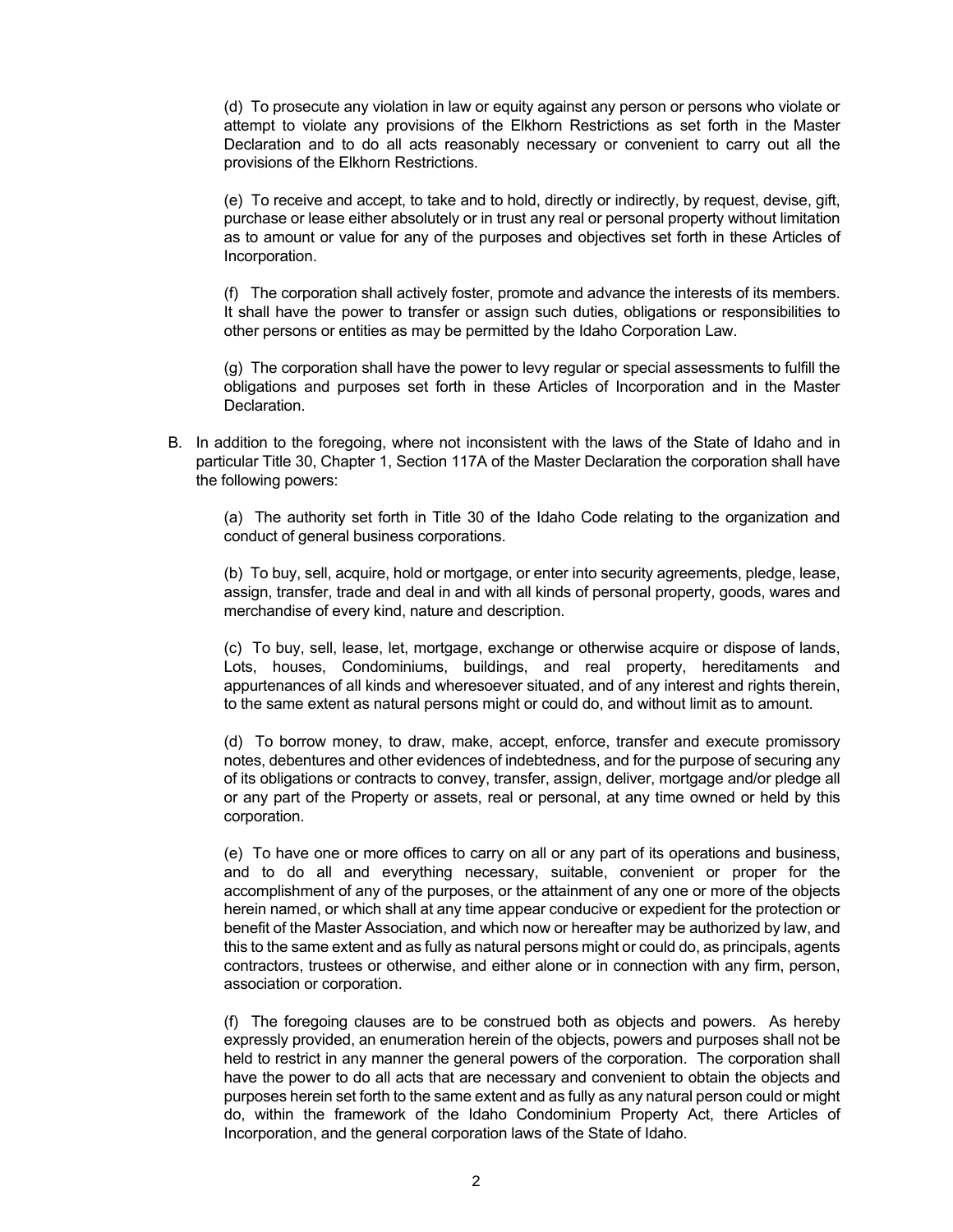(d) To prosecute any violation in law or equity against any person or persons who violate or attempt to violate any provisions of the Elkhorn Restrictions as set forth in the Master Declaration and to do all acts reasonably necessary or convenient to carry out all the provisions of the Elkhorn Restrictions.

 (e) To receive and accept, to take and to hold, directly or indirectly, by request, devise, gift, purchase or lease either absolutely or in trust any real or personal property without limitation as to amount or value for any of the purposes and objectives set forth in these Articles of Incorporation.

 (f) The corporation shall actively foster, promote and advance the interests of its members. It shall have the power to transfer or assign such duties, obligations or responsibilities to other persons or entities as may be permitted by the Idaho Corporation Law.

 (g) The corporation shall have the power to levy regular or special assessments to fulfill the obligations and purposes set forth in these Articles of Incorporation and in the Master Declaration.

 B. In addition to the foregoing, where not inconsistent with the laws of the State of Idaho and in particular Title 30, Chapter 1, Section 117A of the Master Declaration the corporation shall have the following powers:

 (a) The authority set forth in Title 30 of the Idaho Code relating to the organization and conduct of general business corporations.

 (b) To buy, sell, acquire, hold or mortgage, or enter into security agreements, pledge, lease, assign, transfer, trade and deal in and with all kinds of personal property, goods, wares and merchandise of every kind, nature and description.

 (c) To buy, sell, lease, let, mortgage, exchange or otherwise acquire or dispose of lands, Lots, houses, Condominiums, buildings, and real property, hereditaments and appurtenances of all kinds and wheresoever situated, and of any interest and rights therein, to the same extent as natural persons might or could do, and without limit as to amount.

 (d) To borrow money, to draw, make, accept, enforce, transfer and execute promissory notes, debentures and other evidences of indebtedness, and for the purpose of securing any of its obligations or contracts to convey, transfer, assign, deliver, mortgage and/or pledge all or any part of the Property or assets, real or personal, at any time owned or held by this corporation.

 (e) To have one or more offices to carry on all or any part of its operations and business, and to do all and everything necessary, suitable, convenient or proper for the accomplishment of any of the purposes, or the attainment of any one or more of the objects herein named, or which shall at any time appear conducive or expedient for the protection or benefit of the Master Association, and which now or hereafter may be authorized by law, and this to the same extent and as fully as natural persons might or could do, as principals, agents contractors, trustees or otherwise, and either alone or in connection with any firm, person, association or corporation.

 (f) The foregoing clauses are to be construed both as objects and powers. As hereby expressly provided, an enumeration herein of the objects, powers and purposes shall not be held to restrict in any manner the general powers of the corporation. The corporation shall have the power to do all acts that are necessary and convenient to obtain the objects and purposes herein set forth to the same extent and as fully as any natural person could or might do, within the framework of the Idaho Condominium Property Act, there Articles of Incorporation, and the general corporation laws of the State of Idaho.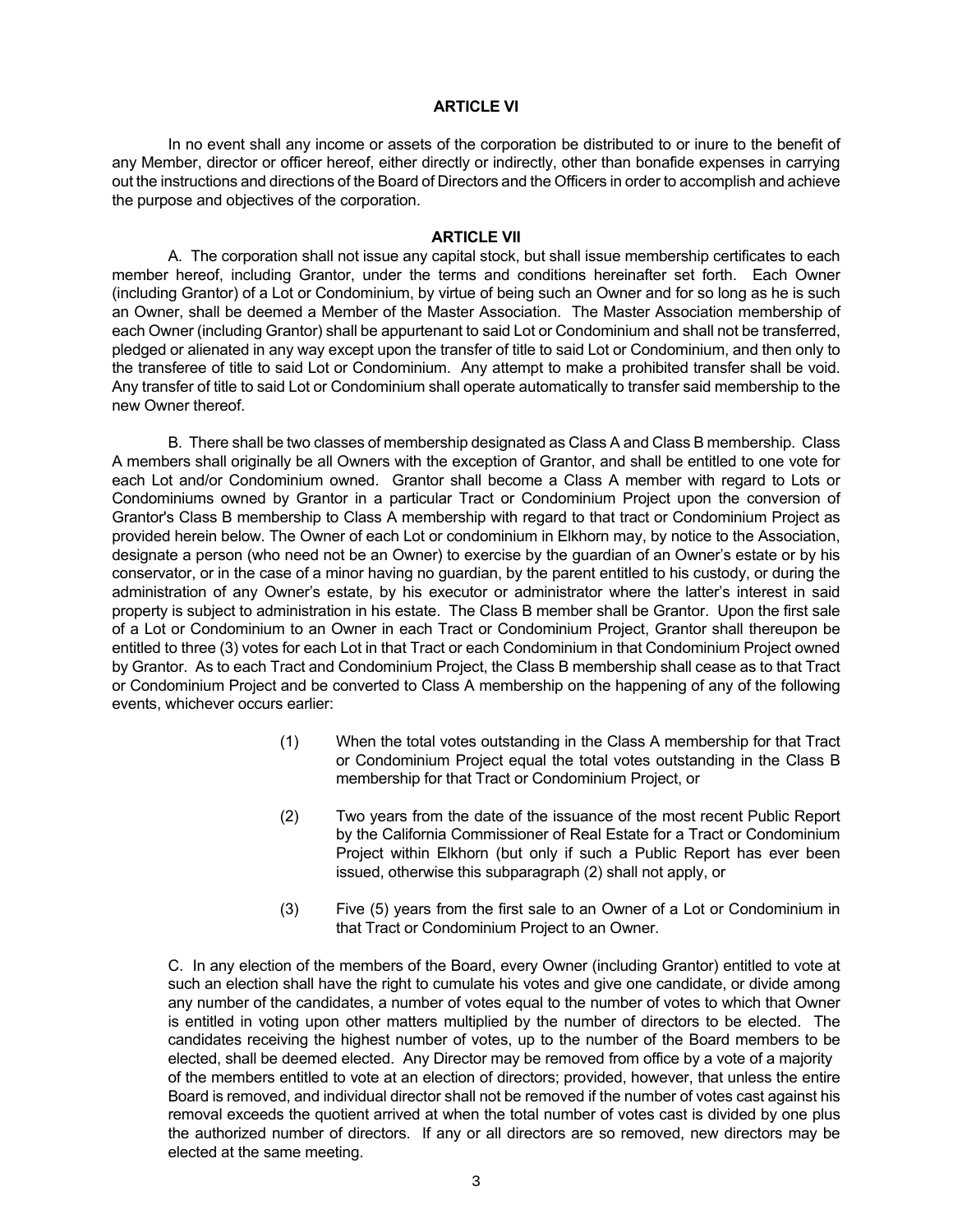#### **ARTICLE VI**

 In no event shall any income or assets of the corporation be distributed to or inure to the benefit of any Member, director or officer hereof, either directly or indirectly, other than bonafide expenses in carrying out the instructions and directions of the Board of Directors and the Officers in order to accomplish and achieve the purpose and objectives of the corporation.

#### **ARTICLE VII**

 A. The corporation shall not issue any capital stock, but shall issue membership certificates to each member hereof, including Grantor, under the terms and conditions hereinafter set forth. Each Owner (including Grantor) of a Lot or Condominium, by virtue of being such an Owner and for so long as he is such an Owner, shall be deemed a Member of the Master Association. The Master Association membership of each Owner (including Grantor) shall be appurtenant to said Lot or Condominium and shall not be transferred, pledged or alienated in any way except upon the transfer of title to said Lot or Condominium, and then only to the transferee of title to said Lot or Condominium. Any attempt to make a prohibited transfer shall be void. Any transfer of title to said Lot or Condominium shall operate automatically to transfer said membership to the new Owner thereof.

 B. There shall be two classes of membership designated as Class A and Class B membership. Class A members shall originally be all Owners with the exception of Grantor, and shall be entitled to one vote for each Lot and/or Condominium owned. Grantor shall become a Class A member with regard to Lots or Condominiums owned by Grantor in a particular Tract or Condominium Project upon the conversion of Grantor's Class B membership to Class A membership with regard to that tract or Condominium Project as provided herein below. The Owner of each Lot or condominium in Elkhorn may, by notice to the Association, designate a person (who need not be an Owner) to exercise by the guardian of an Owner's estate or by his conservator, or in the case of a minor having no guardian, by the parent entitled to his custody, or during the administration of any Owner's estate, by his executor or administrator where the latter's interest in said property is subject to administration in his estate. The Class B member shall be Grantor. Upon the first sale of a Lot or Condominium to an Owner in each Tract or Condominium Project, Grantor shall thereupon be entitled to three (3) votes for each Lot in that Tract or each Condominium in that Condominium Project owned by Grantor. As to each Tract and Condominium Project, the Class B membership shall cease as to that Tract or Condominium Project and be converted to Class A membership on the happening of any of the following events, whichever occurs earlier:

- (1) When the total votes outstanding in the Class A membership for that Tract or Condominium Project equal the total votes outstanding in the Class B membership for that Tract or Condominium Project, or
- (2) Two years from the date of the issuance of the most recent Public Report by the California Commissioner of Real Estate for a Tract or Condominium Project within Elkhorn (but only if such a Public Report has ever been issued, otherwise this subparagraph (2) shall not apply, or
- (3) Five (5) years from the first sale to an Owner of a Lot or Condominium in that Tract or Condominium Project to an Owner.

 C. In any election of the members of the Board, every Owner (including Grantor) entitled to vote at such an election shall have the right to cumulate his votes and give one candidate, or divide among any number of the candidates, a number of votes equal to the number of votes to which that Owner is entitled in voting upon other matters multiplied by the number of directors to be elected. The candidates receiving the highest number of votes, up to the number of the Board members to be elected, shall be deemed elected. Any Director may be removed from office by a vote of a majority of the members entitled to vote at an election of directors; provided, however, that unless the entire Board is removed, and individual director shall not be removed if the number of votes cast against his removal exceeds the quotient arrived at when the total number of votes cast is divided by one plus the authorized number of directors. If any or all directors are so removed, new directors may be elected at the same meeting.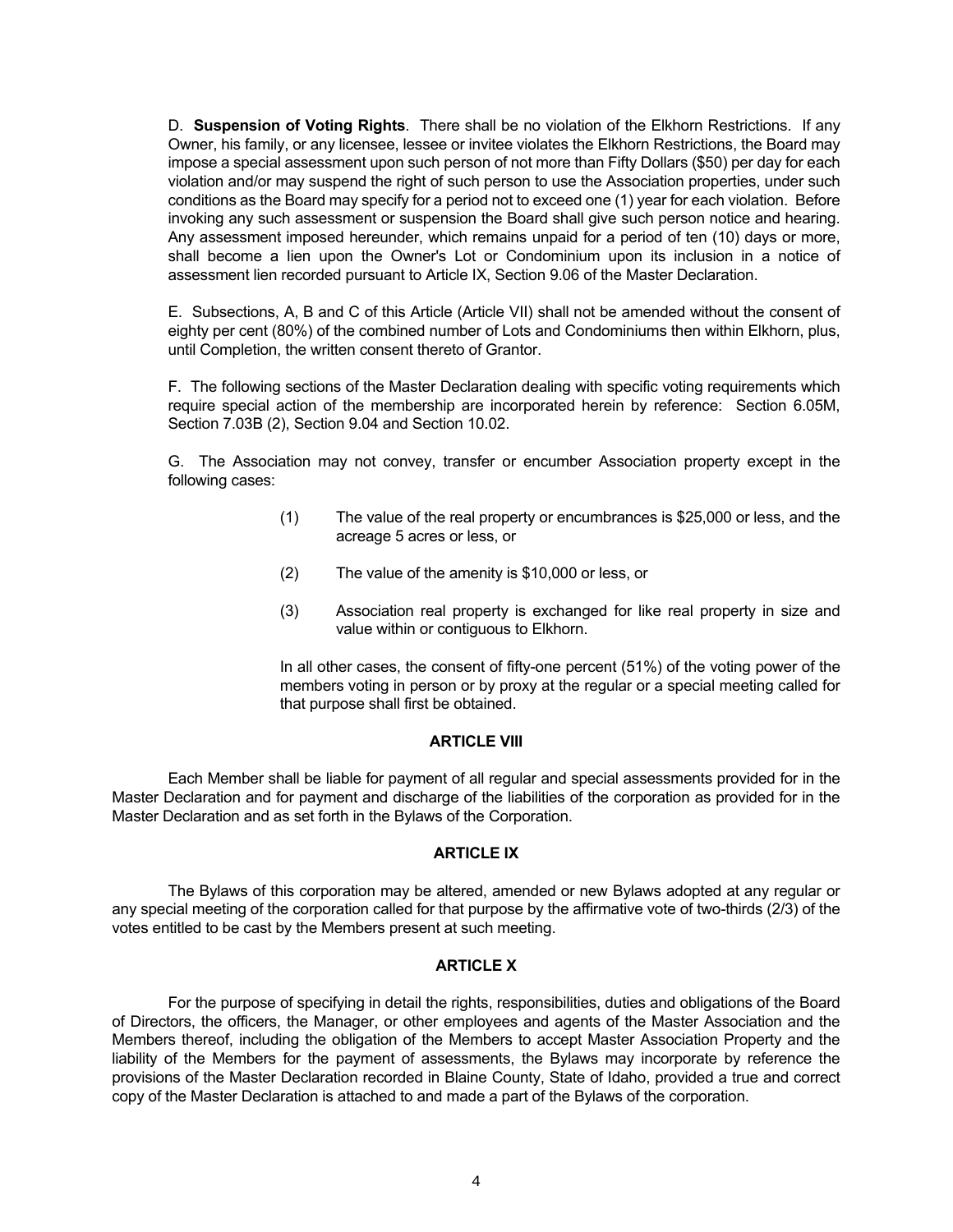D. **Suspension of Voting Rights**. There shall be no violation of the Elkhorn Restrictions. If any Owner, his family, or any licensee, lessee or invitee violates the Elkhorn Restrictions, the Board may impose a special assessment upon such person of not more than Fifty Dollars (\$50) per day for each violation and/or may suspend the right of such person to use the Association properties, under such conditions as the Board may specify for a period not to exceed one (1) year for each violation. Before invoking any such assessment or suspension the Board shall give such person notice and hearing. Any assessment imposed hereunder, which remains unpaid for a period of ten (10) days or more, shall become a lien upon the Owner's Lot or Condominium upon its inclusion in a notice of assessment lien recorded pursuant to Article IX, Section 9.06 of the Master Declaration.

E. Subsections, A, B and C of this Article (Article VII) shall not be amended without the consent of eighty per cent (80%) of the combined number of Lots and Condominiums then within Elkhorn, plus, until Completion, the written consent thereto of Grantor.

F. The following sections of the Master Declaration dealing with specific voting requirements which require special action of the membership are incorporated herein by reference: Section 6.05M, Section 7.03B (2), Section 9.04 and Section 10.02.

 G. The Association may not convey, transfer or encumber Association property except in the following cases:

- (1) The value of the real property or encumbrances is \$25,000 or less, and the acreage 5 acres or less, or
- (2) The value of the amenity is \$10,000 or less, or
- (3) Association real property is exchanged for like real property in size and value within or contiguous to Elkhorn.

 In all other cases, the consent of fifty-one percent (51%) of the voting power of the members voting in person or by proxy at the regular or a special meeting called for that purpose shall first be obtained.

#### **ARTICLE VIII**

 Each Member shall be liable for payment of all regular and special assessments provided for in the Master Declaration and for payment and discharge of the liabilities of the corporation as provided for in the Master Declaration and as set forth in the Bylaws of the Corporation.

#### **ARTICLE IX**

 The Bylaws of this corporation may be altered, amended or new Bylaws adopted at any regular or any special meeting of the corporation called for that purpose by the affirmative vote of two-thirds (2/3) of the votes entitled to be cast by the Members present at such meeting.

#### **ARTICLE X**

 For the purpose of specifying in detail the rights, responsibilities, duties and obligations of the Board of Directors, the officers, the Manager, or other employees and agents of the Master Association and the Members thereof, including the obligation of the Members to accept Master Association Property and the liability of the Members for the payment of assessments, the Bylaws may incorporate by reference the provisions of the Master Declaration recorded in Blaine County, State of Idaho, provided a true and correct copy of the Master Declaration is attached to and made a part of the Bylaws of the corporation.